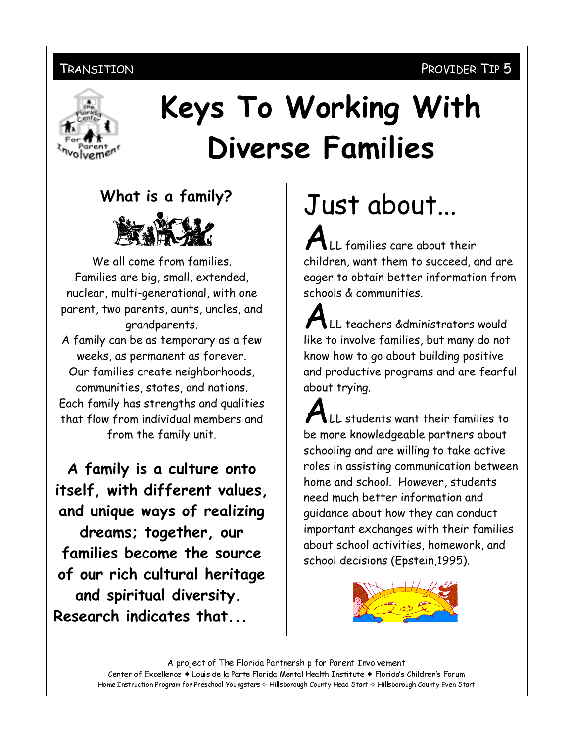## PROVIDER TIP 5

#### TRANSITION



# Keys To Working With **Diverse Families**

What is a family?



We all come from families. Families are big, small, extended, nuclear, multi-generational, with one parent, two parents, aunts, uncles, and grandparents. A family can be as temporary as a few weeks, as permanent as forever. Our families create neighborhoods, communities, states, and nations. Each family has strengths and qualities that flow from individual members and from the family unit.

A family is a culture onto itself, with different values, and unique ways of realizing dreams; together, our families become the source of our rich cultural heritage and spiritual diversity. Research indicates that...

Just about...

LL families care about their children, want them to succeed, and are eager to obtain better information from schools & communities.

LL teachers &dministrators would like to involve families, but many do not know how to go about building positive and productive programs and are fearful about trying.

LL students want their families to be more knowledgeable partners about schooling and are willing to take active roles in assisting communication between home and school. However, students need much better information and guidance about how they can conduct important exchanges with their families about school activities, homework, and school decisions (Epstein, 1995).



A project of The Florida Partnership for Parent Involvement Center of Excellence + Louis de la Parte Florida Mental Health Institute + Florida's Children's Forum Home Instruction Program for Preschool Youngsters & Hillsborough County Head Start & Hillsborough County Even Start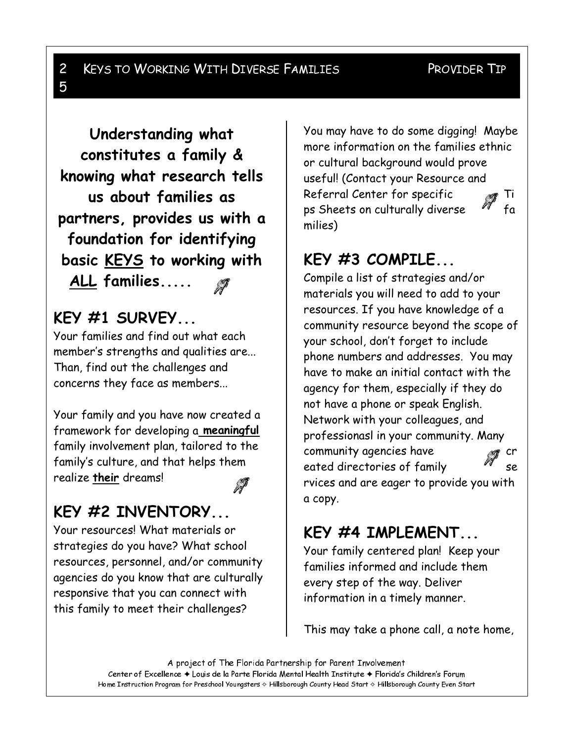#### $\overline{c}$ **KEYS TO WORKING WITH DIVERSE FAMILIES** 5

#### PROVIDER TIP

Understanding what constitutes a family & knowing what research tells us about families as partners, provides us with a foundation for identifying basic KEYS to working with ALL families.....

## KEY  $#1$  SURVEY...

Your families and find out what each member's strengths and qualities are... Than, find out the challenges and concerns they face as members...

Your family and you have now created a framework for developing a meaningful family involvement plan, tailored to the family's culture, and that helps them realize their dreams!

# KEY #2 INVENTORY...

Your resources! What materials or strategies do you have? What school resources, personnel, and/or community agencies do you know that are culturally responsive that you can connect with this family to meet their challenges?

You may have to do some digging! Maybe more information on the families ethnic or cultural background would prove useful! (Contact your Resource and Referral Center for specific Ti  $fa$ ps Sheets on culturally diverse milies)

# KEY  $#3$  COMPILE...

Compile a list of strategies and/or materials you will need to add to your resources. If you have knowledge of a community resource beyond the scope of your school, don't forget to include phone numbers and addresses. You may have to make an initial contact with the agency for them, especially if they do not have a phone or speak English. Network with your colleagues, and professionasl in your community. Many community agencies have cr eated directories of family **se** rvices and are eager to provide you with а сору.

# KEY  $#4$  IMPLEMENT...

Your family centered plan! Keep your families informed and include them every step of the way. Deliver information in a timely manner.

This may take a phone call, a note home,

A project of The Florida Partnership for Parent Involvement Center of Excellence + Louis de la Parte Florida Mental Health Institute + Florida's Children's Forum Home Instruction Program for Preschool Youngsters & Hillsborough County Head Start & Hillsborough County Even Start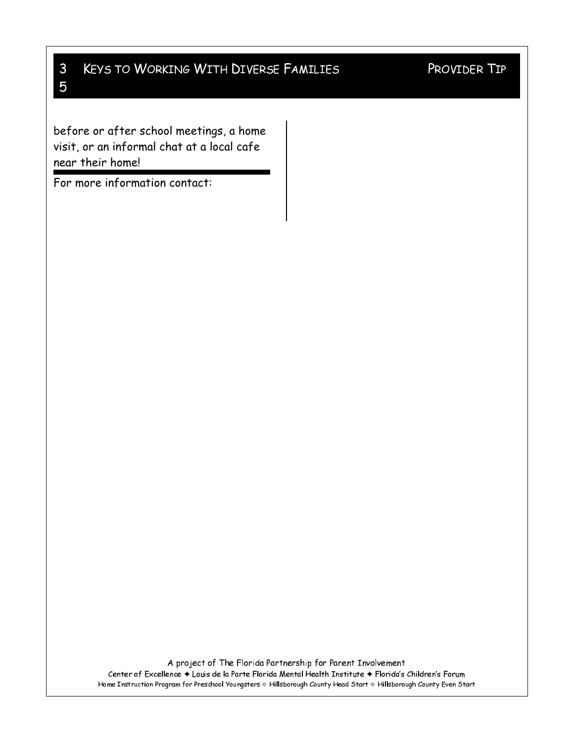#### $\mathsf{3}$ **KEYS TO WORKING WITH DIVERSE FAMILIES** 5

## PROVIDER TIP

before or after school meetings, a home visit, or an informal chat at a local cafe near their home!

For more information contact:

A project of The Florida Partnership for Parent Involvement Center of Excellence + Louis de la Parte Florida Mental Health Institute + Florida's Children's Forum Home Instruction Program for Preschool Youngsters & Hillsborough County Head Start & Hillsborough County Even Start